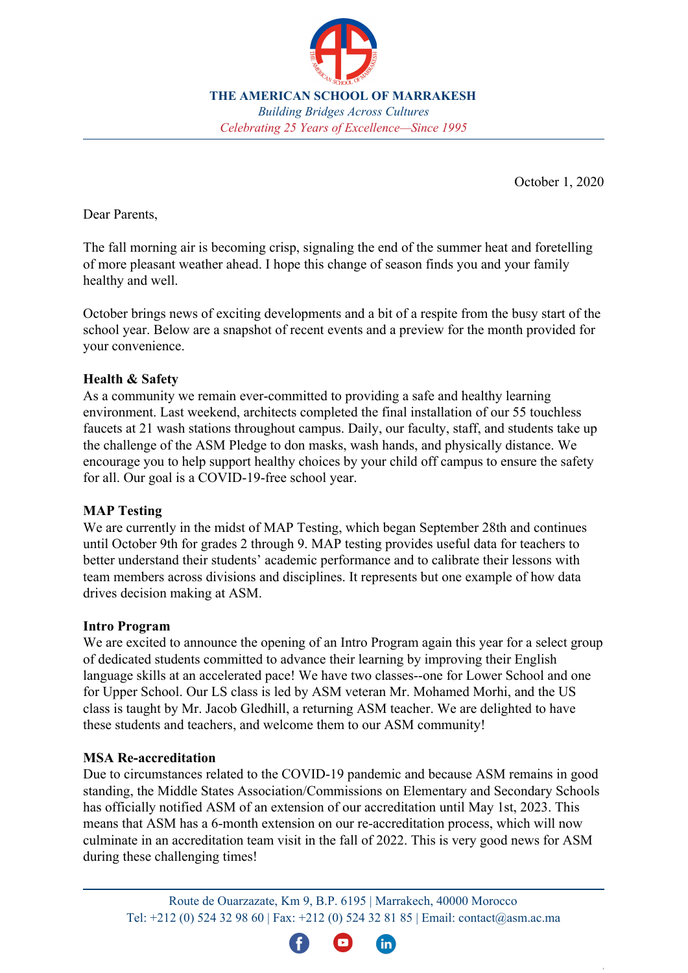

**THE AMERICAN SCHOOL OF MARRAKESH** *Building Bridges Across Cultures Celebrating 25 Years of Excellence—Since 1995*

October 1, 2020

Dear Parents,

The fall morning air is becoming crisp, signaling the end of the summer heat and foretelling of more pleasant weather ahead. I hope this change of season finds you and your family healthy and well.

October brings news of exciting developments and a bit of a respite from the busy start of the school year. Below are a snapshot of recent events and a preview for the month provided for your convenience.

## **Health & Safety**

As a community we remain ever-committed to providing a safe and healthy learning environment. Last weekend, architects completed the final installation of our 55 touchless faucets at 21 wash stations throughout campus. Daily, our faculty, staff, and students take up the challenge of the ASM Pledge to don masks, wash hands, and physically distance. We encourage you to help support healthy choices by your child off campus to ensure the safety for all. Our goal is a COVID-19-free school year.

## **MAP Testing**

We are currently in the midst of MAP Testing, which began September 28th and continues until October 9th for grades 2 through 9. MAP testing provides useful data for teachers to better understand their students' academic performance and to calibrate their lessons with team members across divisions and disciplines. It represents but one example of how data drives decision making at ASM.

## **Intro Program**

We are excited to announce the opening of an Intro Program again this year for a select group of dedicated students committed to advance their learning by improving their English language skills at an accelerated pace! We have two classes--one for Lower School and one for Upper School. Our LS class is led by ASM veteran Mr. Mohamed Morhi, and the US class is taught by Mr. Jacob Gledhill, a returning ASM teacher. We are delighted to have these students and teachers, and welcome them to our ASM community!

## **MSA Re-accreditation**

Due to circumstances related to the COVID-19 pandemic and because ASM remains in good standing, the Middle States Association/Commissions on Elementary and Secondary Schools has officially notified ASM of an extension of our accreditation until May 1st, 2023. This means that ASM has a 6-month extension on our re-accreditation process, which will now culminate in an accreditation team visit in the fall of 2022. This is very good news for ASM during these challenging times!

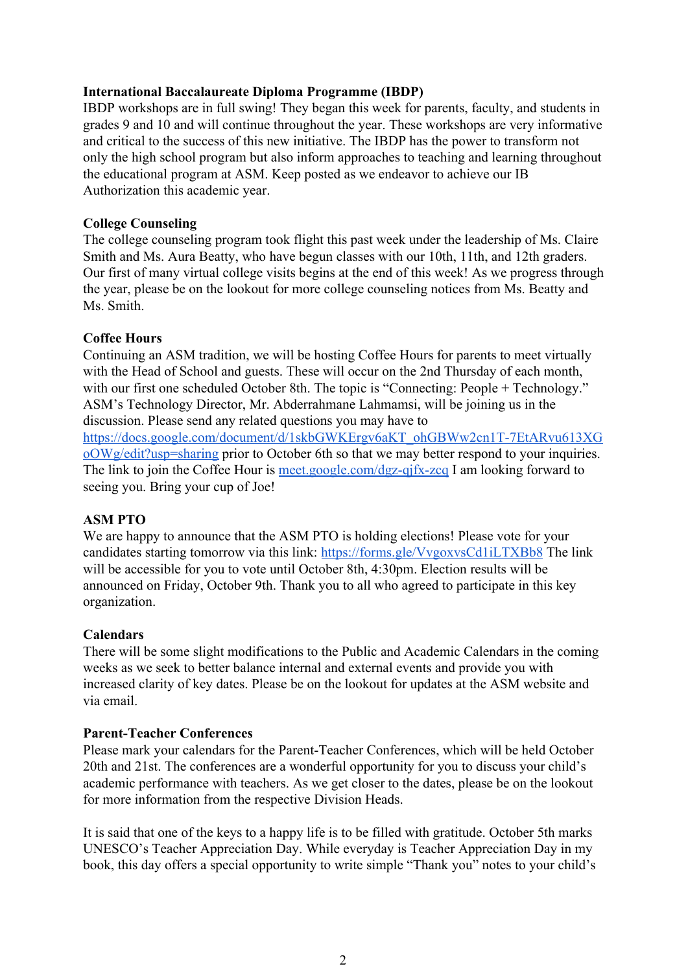## **International Baccalaureate Diploma Programme (IBDP)**

IBDP workshops are in full swing! They began this week for parents, faculty, and students in grades 9 and 10 and will continue throughout the year. These workshops are very informative and critical to the success of this new initiative. The IBDP has the power to transform not only the high school program but also inform approaches to teaching and learning throughout the educational program at ASM. Keep posted as we endeavor to achieve our IB Authorization this academic year.

## **College Counseling**

The college counseling program took flight this past week under the leadership of Ms. Claire Smith and Ms. Aura Beatty, who have begun classes with our 10th, 11th, and 12th graders. Our first of many virtual college visits begins at the end of this week! As we progress through the year, please be on the lookout for more college counseling notices from Ms. Beatty and Ms. Smith.

## **Coffee Hours**

Continuing an ASM tradition, we will be hosting Coffee Hours for parents to meet virtually with the Head of School and guests. These will occur on the 2nd Thursday of each month, with our first one scheduled October 8th. The topic is "Connecting: People + Technology." ASM's Technology Director, Mr. Abderrahmane Lahmamsi, will be joining us in the discussion. Please send any related questions you may have to

[https://docs.google.com/document/d/1skbGWKErgv6aKT\\_ohGBWw2cn1T-7EtARvu613XG](https://docs.google.com/document/d/1skbGWKErgv6aKT_ohGBWw2cn1T-7EtARvu613XGoOWg/edit?usp=sharing) [oOWg/edit?usp=sharing](https://docs.google.com/document/d/1skbGWKErgv6aKT_ohGBWw2cn1T-7EtARvu613XGoOWg/edit?usp=sharing) prior to October 6th so that we may better respond to your inquiries. The link to join the Coffee Hour is [meet.google.com/dgz-qjfx-zcq](https://meet.google.com/?pli=1&authuser=0) I am looking forward to seeing you. Bring your cup of Joe!

## **ASM PTO**

We are happy to announce that the ASM PTO is holding elections! Please vote for your candidates starting tomorrow via this link: <https://forms.gle/VvgoxvsCd1iLTXBb8>The link will be accessible for you to vote until October 8th, 4:30pm. Election results will be announced on Friday, October 9th. Thank you to all who agreed to participate in this key organization.

## **Calendars**

There will be some slight modifications to the Public and Academic Calendars in the coming weeks as we seek to better balance internal and external events and provide you with increased clarity of key dates. Please be on the lookout for updates at the ASM website and via email.

## **Parent-Teacher Conferences**

Please mark your calendars for the Parent-Teacher Conferences, which will be held October 20th and 21st. The conferences are a wonderful opportunity for you to discuss your child's academic performance with teachers. As we get closer to the dates, please be on the lookout for more information from the respective Division Heads.

It is said that one of the keys to a happy life is to be filled with gratitude. October 5th marks UNESCO's Teacher Appreciation Day. While everyday is Teacher Appreciation Day in my book, this day offers a special opportunity to write simple "Thank you" notes to your child's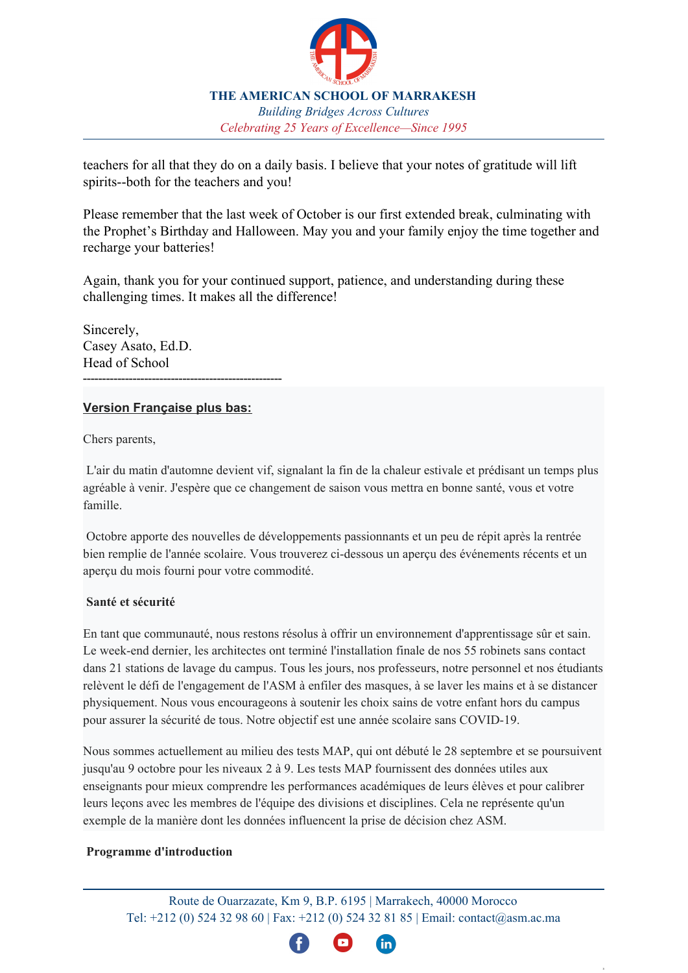

**THE AMERICAN SCHOOL OF MARRAKESH** *Building Bridges Across Cultures Celebrating 25 Years of Excellence—Since 1995*

teachers for all that they do on a daily basis. I believe that your notes of gratitude will lift spirits--both for the teachers and you!

Please remember that the last week of October is our first extended break, culminating with the Prophet's Birthday and Halloween. May you and your family enjoy the time together and recharge your batteries!

Again, thank you for your continued support, patience, and understanding during these challenging times. It makes all the difference!

Sincerely, Casey Asato, Ed.D. Head of School ----------------------------------------------------

## **Version Française plus bas:**

Chers parents,

L'air du matin d'automne devient vif, signalant la fin de la chaleur estivale et prédisant un temps plus agréable à venir. J'espère que ce changement de saison vous mettra en bonne santé, vous et votre famille.

Octobre apporte des nouvelles de développements passionnants et un peu de répit après la rentrée bien remplie de l'année scolaire. Vous trouverez ci-dessous un aperçu des événements récents et un aperçu du mois fourni pour votre commodité.

# **Santé et sécurité**

En tant que communauté, nous restons résolus à offrir un environnement d'apprentissage sûr et sain. Le week-end dernier, les architectes ont terminé l'installation finale de nos 55 robinets sans contact dans 21 stations de lavage du campus. Tous les jours, nos professeurs, notre personnel et nos étudiants relèvent le défi de l'engagement de l'ASM à enfiler des masques, à se laver les mains et à se distancer physiquement. Nous vous encourageons à soutenir les choix sains de votre enfant hors du campus pour assurer la sécurité de tous. Notre objectif est une année scolaire sans COVID-19.

Nous sommes actuellement au milieu des tests MAP, qui ont débuté le 28 septembre et se poursuivent jusqu'au 9 octobre pour les niveaux 2 à 9. Les tests MAP fournissent des données utiles aux enseignants pour mieux comprendre les performances académiques de leurs élèves et pour calibrer leurs leçons avec les membres de l'équipe des divisions et disciplines. Cela ne représente qu'un exemple de la manière dont les données influencent la prise de décision chez ASM.

## **Programme d'introduction**

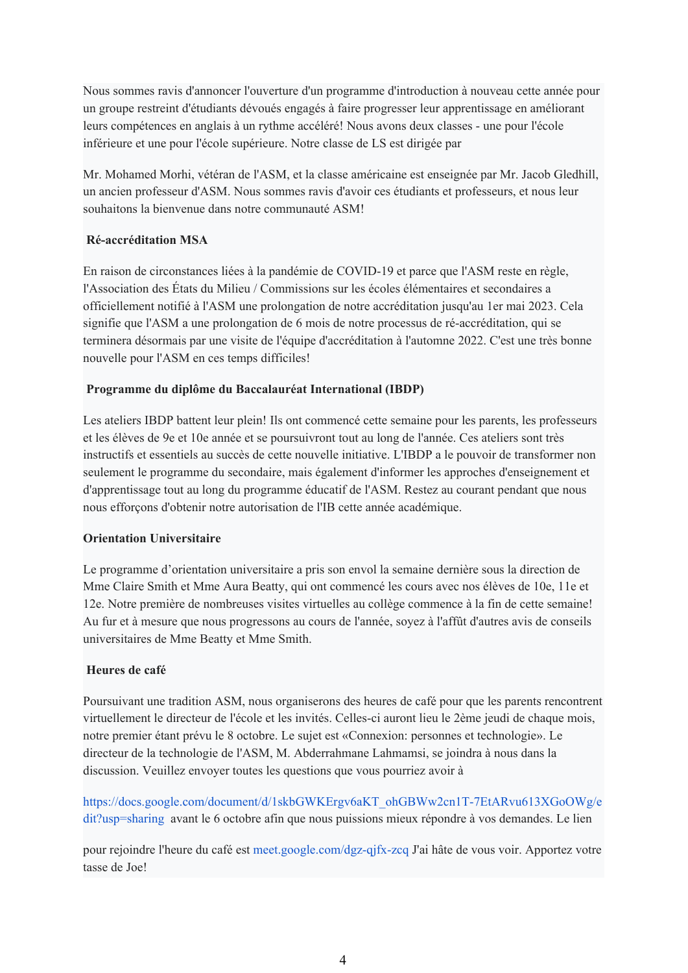Nous sommes ravis d'annoncer l'ouverture d'un programme d'introduction à nouveau cette année pour un groupe restreint d'étudiants dévoués engagés à faire progresser leur apprentissage en améliorant leurs compétences en anglais à un rythme accéléré! Nous avons deux classes - une pour l'école inférieure et une pour l'école supérieure. Notre classe de LS est dirigée par

Mr. Mohamed Morhi, vétéran de l'ASM, et la classe américaine est enseignée par Mr. Jacob Gledhill, un ancien professeur d'ASM. Nous sommes ravis d'avoir ces étudiants et professeurs, et nous leur souhaitons la bienvenue dans notre communauté ASM!

## **Ré-accréditation MSA**

En raison de circonstances liées à la pandémie de COVID-19 et parce que l'ASM reste en règle, l'Association des États du Milieu / Commissions sur les écoles élémentaires et secondaires a officiellement notifié à l'ASM une prolongation de notre accréditation jusqu'au 1er mai 2023. Cela signifie que l'ASM a une prolongation de 6 mois de notre processus de ré-accréditation, qui se terminera désormais par une visite de l'équipe d'accréditation à l'automne 2022. C'est une très bonne nouvelle pour l'ASM en ces temps difficiles!

#### **Programme du diplôme du Baccalauréat International (IBDP)**

Les ateliers IBDP battent leur plein! Ils ont commencé cette semaine pour les parents, les professeurs et les élèves de 9e et 10e année et se poursuivront tout au long de l'année. Ces ateliers sont très instructifs et essentiels au succès de cette nouvelle initiative. L'IBDP a le pouvoir de transformer non seulement le programme du secondaire, mais également d'informer les approches d'enseignement et d'apprentissage tout au long du programme éducatif de l'ASM. Restez au courant pendant que nous nous efforçons d'obtenir notre autorisation de l'IB cette année académique.

## **Orientation Universitaire**

Le programme d'orientation universitaire a pris son envol la semaine dernière sous la direction de Mme Claire Smith et Mme Aura Beatty, qui ont commencé les cours avec nos élèves de 10e, 11e et 12e. Notre première de nombreuses visites virtuelles au collège commence à la fin de cette semaine! Au fur et à mesure que nous progressons au cours de l'année, soyez à l'affût d'autres avis de conseils universitaires de Mme Beatty et Mme Smith.

#### **Heures de café**

Poursuivant une tradition ASM, nous organiserons des heures de café pour que les parents rencontrent virtuellement le directeur de l'école et les invités. Celles-ci auront lieu le 2ème jeudi de chaque mois, notre premier étant prévu le 8 octobre. Le sujet est «Connexion: personnes et technologie». Le directeur de la technologie de l'ASM, M. Abderrahmane Lahmamsi, se joindra à nous dans la discussion. Veuillez envoyer toutes les questions que vous pourriez avoir à

[https://docs.google.com/document/d/1skbGWKErgv6aKT\\_ohGBWw2cn1T-7EtARvu613XGoOWg/e](https://docs.google.com/document/d/1skbGWKErgv6aKT_ohGBWw2cn1T-7EtARvu613XGoOWg/edit?usp=sharing) [dit?usp=sharing](https://docs.google.com/document/d/1skbGWKErgv6aKT_ohGBWw2cn1T-7EtARvu613XGoOWg/edit?usp=sharing) avant le 6 octobre afin que nous puissions mieux répondre à vos demandes. Le lien

pour rejoindre l'heure du café est [meet.google.com/dgz-qjfx-zcq](https://meet.google.com/?pli=1&authuser=0) J'ai hâte de vous voir. Apportez votre tasse de Joe!